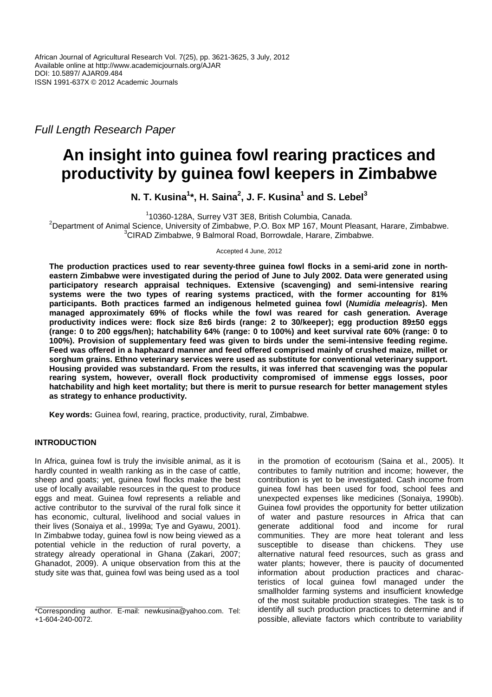Full Length Research Paper

# **An insight into guinea fowl rearing practices and productivity by guinea fowl keepers in Zimbabwe**

**N. T. Kusina<sup>1</sup> \*, H. Saina<sup>2</sup> , J. F. Kusina<sup>1</sup> and S. Lebel<sup>3</sup>**

<sup>1</sup>10360-128A, Surrey V3T 3E8, British Columbia, Canada.

<sup>2</sup>Department of Animal Science, University of Zimbabwe, P.O. Box MP 167, Mount Pleasant, Harare, Zimbabwe.  ${}^{3}$ CIRAD Zimbabwe, 9 Balmoral Road, Borrowdale, Harare, Zimbabwe.

Accepted 4 June, 2012

**The production practices used to rear seventy-three guinea fowl flocks in a semi-arid zone in northeastern Zimbabwe were investigated during the period of June to July 2002. Data were generated using participatory research appraisal techniques. Extensive (scavenging) and semi-intensive rearing systems were the two types of rearing systems practiced, with the former accounting for 81% participants. Both practices farmed an indigenous helmeted guinea fowl (Numidia meleagris). Men managed approximately 69% of flocks while the fowl was reared for cash generation. Average productivity indices were: flock size 8±6 birds (range: 2 to 30/keeper); egg production 89±50 eggs (range: 0 to 200 eggs/hen); hatchability 64% (range: 0 to 100%) and keet survival rate 60% (range: 0 to 100%). Provision of supplementary feed was given to birds under the semi-intensive feeding regime. Feed was offered in a haphazard manner and feed offered comprised mainly of crushed maize, millet or sorghum grains. Ethno veterinary services were used as substitute for conventional veterinary support. Housing provided was substandard. From the results, it was inferred that scavenging was the popular rearing system, however, overall flock productivity compromised of immense eggs losses, poor hatchability and high keet mortality; but there is merit to pursue research for better management styles as strategy to enhance productivity.** 

**Key words:** Guinea fowl, rearing, practice, productivity, rural, Zimbabwe.

# **INTRODUCTION**

In Africa, guinea fowl is truly the invisible animal, as it is hardly counted in wealth ranking as in the case of cattle, sheep and goats; yet, guinea fowl flocks make the best use of locally available resources in the quest to produce eggs and meat. Guinea fowl represents a reliable and active contributor to the survival of the rural folk since it has economic, cultural, livelihood and social values in their lives (Sonaiya et al., 1999a; Tye and Gyawu, 2001). In Zimbabwe today, guinea fowl is now being viewed as a potential vehicle in the reduction of rural poverty, a strategy already operational in Ghana (Zakari, 2007; Ghanadot, 2009). A unique observation from this at the study site was that, guinea fowl was being used as a tool

in the promotion of ecotourism (Saina et al., 2005). It contributes to family nutrition and income; however, the contribution is yet to be investigated. Cash income from guinea fowl has been used for food, school fees and unexpected expenses like medicines (Sonaiya, 1990b). Guinea fowl provides the opportunity for better utilization of water and pasture resources in Africa that can generate additional food and income for rural communities. They are more heat tolerant and less susceptible to disease than chickens. They use alternative natural feed resources, such as grass and water plants; however, there is paucity of documented information about production practices and characteristics of local guinea fowl managed under the smallholder farming systems and insufficient knowledge of the most suitable production strategies. The task is to identify all such production practices to determine and if possible, alleviate factors which contribute to variability

<sup>\*</sup>Corresponding author. E-mail: newkusina@yahoo.com. Tel: +1-604-240-0072.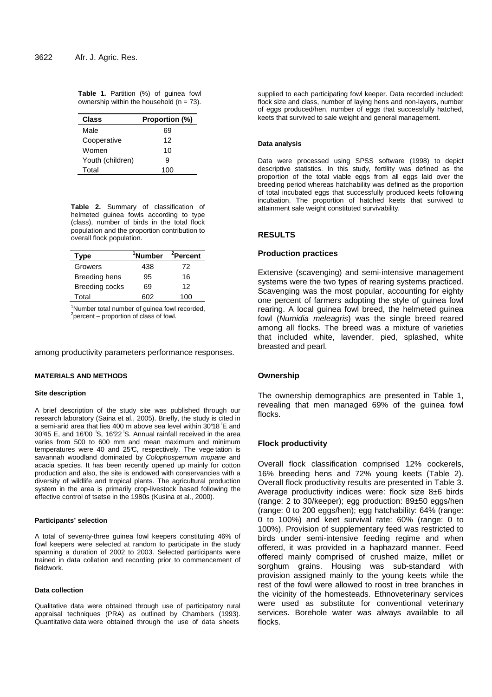**Table 1.** Partition (%) of guinea fowl ownership within the household  $(n = 73)$ .

| <b>Class</b>     | Proportion (%) |  |
|------------------|----------------|--|
| Male             | 69             |  |
| Cooperative      | 12             |  |
| Women            | 10             |  |
| Youth (children) | я              |  |
| Total            | 100            |  |

**Table 2.** Summary of classification of helmeted guinea fowls according to type (class), number of birds in the total flock population and the proportion contribution to overall flock population.

| <b>Type</b>    | <sup>1</sup> Number | <sup>2</sup> Percent |  |
|----------------|---------------------|----------------------|--|
| Growers        | 438                 | 72                   |  |
| Breeding hens  | 95                  | 16                   |  |
| Breeding cocks | 69                  | 12                   |  |
| Total          | 602                 | 1 በበ                 |  |

<sup>1</sup>Number total number of guinea fowl recorded,  $2$ percent – proportion of class of fowl.

among productivity parameters performance responses.

#### **MATERIALS AND METHODS**

## **Site description**

A brief description of the study site was published through our research laboratory (Saina et al., 2005). Briefly, the study is cited in a semi-arid area that lies 400 m above sea level within 30°18 ׀E and 30°45 E, and 16°00 ׀S, 16°22 ׀S. Annual rainfall received in the area varies from 500 to 600 mm and mean maximum and minimum temperatures were 40 and 25°C, respectively. The vege tation is savannah woodland dominated by Colophospemum mopane and acacia species. It has been recently opened up mainly for cotton production and also, the site is endowed with conservancies with a diversity of wildlife and tropical plants. The agricultural production system in the area is primarily crop-livestock based following the effective control of tsetse in the 1980s (Kusina et al., 2000).

## **Participants' selection**

A total of seventy-three guinea fowl keepers constituting 46% of fowl keepers were selected at random to participate in the study spanning a duration of 2002 to 2003. Selected participants were trained in data collation and recording prior to commencement of fieldwork.

#### **Data collection**

Qualitative data were obtained through use of participatory rural appraisal techniques (PRA) as outlined by Chambers (1993). Quantitative data were obtained through the use of data sheets

supplied to each participating fowl keeper. Data recorded included: flock size and class, number of laying hens and non-layers, number of eggs produced/hen, number of eggs that successfully hatched, keets that survived to sale weight and general management.

#### **Data analysis**

Data were processed using SPSS software (1998) to depict descriptive statistics. In this study, fertility was defined as the proportion of the total viable eggs from all eggs laid over the breeding period whereas hatchability was defined as the proportion of total incubated eggs that successfully produced keets following incubation. The proportion of hatched keets that survived to attainment sale weight constituted survivability.

## **RESULTS**

#### **Production practices**

Extensive (scavenging) and semi-intensive management systems were the two types of rearing systems practiced. Scavenging was the most popular, accounting for eighty one percent of farmers adopting the style of guinea fowl rearing. A local guinea fowl breed, the helmeted guinea fowl (Numidia meleagris) was the single breed reared among all flocks. The breed was a mixture of varieties that included white, lavender, pied, splashed, white breasted and pearl.

#### **Ownership**

The ownership demographics are presented in Table 1, revealing that men managed 69% of the guinea fowl flocks.

#### **Flock productivity**

Overall flock classification comprised 12% cockerels, 16% breeding hens and 72% young keets (Table 2). Overall flock productivity results are presented in Table 3. Average productivity indices were: flock size 8±6 birds (range: 2 to 30/keeper); egg production: 89±50 eggs/hen (range: 0 to 200 eggs/hen); egg hatchability: 64% (range: 0 to 100%) and keet survival rate: 60% (range: 0 to 100%). Provision of supplementary feed was restricted to birds under semi-intensive feeding regime and when offered, it was provided in a haphazard manner. Feed offered mainly comprised of crushed maize, millet or sorghum grains. Housing was sub-standard with provision assigned mainly to the young keets while the rest of the fowl were allowed to roost in tree branches in the vicinity of the homesteads. Ethnoveterinary services were used as substitute for conventional veterinary services. Borehole water was always available to all flocks.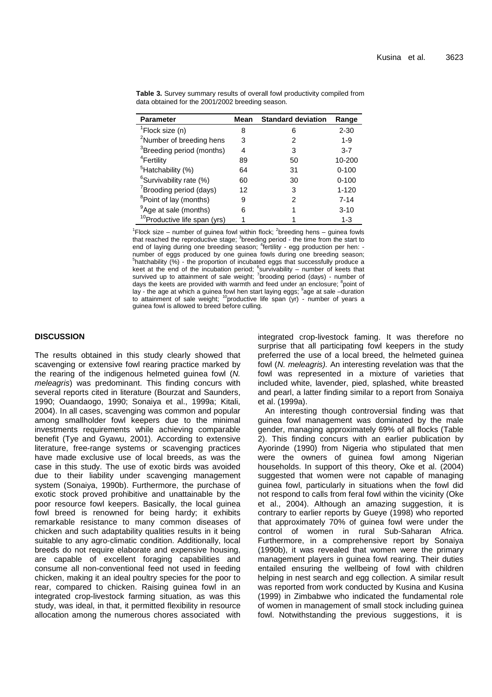| <b>Parameter</b>                         | Mean | <b>Standard deviation</b> | Range     |
|------------------------------------------|------|---------------------------|-----------|
| $\sqrt[1]{2}$ Flock size (n)             | 8    | 6                         | $2 - 30$  |
| <sup>2</sup> Number of breeding hens     | 3    | 2                         | $1 - 9$   |
| <sup>3</sup> Breeding period (months)    | 4    | 3                         | $3 - 7$   |
| <sup>4</sup> Fertility                   | 89   | 50                        | 10-200    |
| <sup>5</sup> Hatchability (%)            | 64   | 31                        | $0 - 100$ |
| <sup>6</sup> Survivability rate (%)      | 60   | 30                        | $0 - 100$ |
| <sup>7</sup> Brooding period (days)      | 12   | 3                         | $1 - 120$ |
| <sup>8</sup> Point of lay (months)       | 9    | 2                         | $7 - 14$  |
| <sup>9</sup> Age at sale (months)        | 6    |                           | $3 - 10$  |
| <sup>10</sup> Productive life span (yrs) |      |                           | $1 - 3$   |

**Table 3.** Survey summary results of overall fowl productivity compiled from data obtained for the 2001/2002 breeding season.

<sup>1</sup>Flock size – number of guinea fowl within flock; <sup>2</sup>breeding hens – guinea fowls that reached the reproductive stage; <sup>3</sup>breeding period - the time from the start to end of laying during one breeding season; <sup>4</sup>fertility - egg production per hen: number of eggs produced by one guinea fowls during one breeding season;<br><sup>5</sup>hatchability (%) - the proportion of incubated eggs that successfully produce a keet at the end of the incubation period; <sup>6</sup>survivability – number of keets that survived up to attainment of sale weight; <sup>7</sup>brooding period (days) - number of days the keets are provided with warmth and feed under an enclosure; <sup>8</sup>point of lay - the age at which a guinea fowl hen start laying eggs;  $^9$ age at sale -duration to attainment of sale weight;  $^{10}$ productive life span (yr) - number of years a guinea fowl is allowed to breed before culling.

## **DISCUSSION**

The results obtained in this study clearly showed that scavenging or extensive fowl rearing practice marked by the rearing of the indigenous helmeted guinea fowl (N. meleagris) was predominant. This finding concurs with several reports cited in literature (Bourzat and Saunders, 1990; Ouandaogo, 1990; Sonaiya et al., 1999a; Kitali, 2004). In all cases, scavenging was common and popular among smallholder fowl keepers due to the minimal investments requirements while achieving comparable benefit (Tye and Gyawu, 2001). According to extensive literature, free-range systems or scavenging practices have made exclusive use of local breeds, as was the case in this study. The use of exotic birds was avoided due to their liability under scavenging management system (Sonaiya, 1990b). Furthermore, the purchase of exotic stock proved prohibitive and unattainable by the poor resource fowl keepers. Basically, the local guinea fowl breed is renowned for being hardy; it exhibits remarkable resistance to many common diseases of chicken and such adaptability qualities results in it being suitable to any agro-climatic condition. Additionally, local breeds do not require elaborate and expensive housing, are capable of excellent foraging capabilities and consume all non-conventional feed not used in feeding chicken, making it an ideal poultry species for the poor to rear, compared to chicken. Raising guinea fowl in an integrated crop-livestock farming situation, as was this study, was ideal, in that, it permitted flexibility in resource allocation among the numerous chores associated with

integrated crop-livestock faming. It was therefore no surprise that all participating fowl keepers in the study preferred the use of a local breed, the helmeted guinea fowl (N. meleagris). An interesting revelation was that the fowl was represented in a mixture of varieties that included white, lavender, pied, splashed, white breasted and pearl, a latter finding similar to a report from Sonaiya et al. (1999a).

An interesting though controversial finding was that guinea fowl management was dominated by the male gender, managing approximately 69% of all flocks (Table 2). This finding concurs with an earlier publication by Ayorinde (1990) from Nigeria who stipulated that men were the owners of guinea fowl among Nigerian households. In support of this theory, Oke et al. (2004) suggested that women were not capable of managing guinea fowl, particularly in situations when the fowl did not respond to calls from feral fowl within the vicinity (Oke et al., 2004). Although an amazing suggestion, it is contrary to earlier reports by Gueye (1998) who reported that approximately 70% of guinea fowl were under the control of women in rural Sub-Saharan Africa. Furthermore, in a comprehensive report by Sonaiya (1990b), it was revealed that women were the primary management players in guinea fowl rearing. Their duties entailed ensuring the wellbeing of fowl with children helping in nest search and egg collection. A similar result was reported from work conducted by Kusina and Kusina (1999) in Zimbabwe who indicated the fundamental role of women in management of small stock including guinea fowl. Notwithstanding the previous suggestions, it is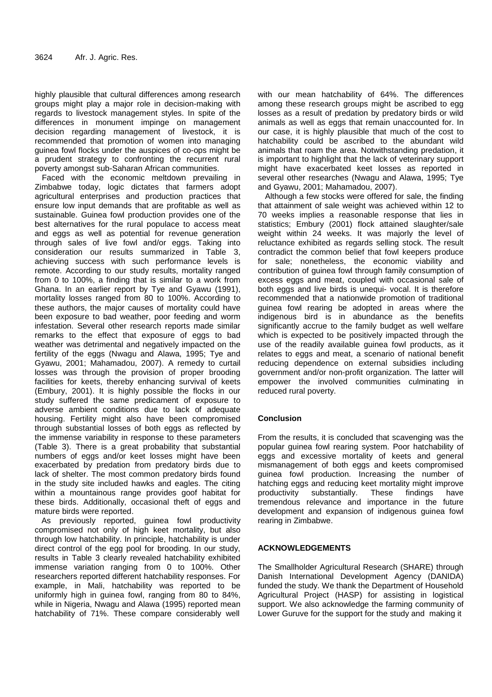highly plausible that cultural differences among research groups might play a major role in decision-making with regards to livestock management styles. In spite of the differences in monument impinge on management decision regarding management of livestock, it is recommended that promotion of women into managing guinea fowl flocks under the auspices of co-ops might be a prudent strategy to confronting the recurrent rural poverty amongst sub-Saharan African communities.

Faced with the economic meltdown prevailing in Zimbabwe today, logic dictates that farmers adopt agricultural enterprises and production practices that ensure low input demands that are profitable as well as sustainable. Guinea fowl production provides one of the best alternatives for the rural populace to access meat and eggs as well as potential for revenue generation through sales of live fowl and/or eggs. Taking into consideration our results summarized in Table 3, achieving success with such performance levels is remote. According to our study results, mortality ranged from 0 to 100%, a finding that is similar to a work from Ghana. In an earlier report by Tye and Gyawu (1991), mortality losses ranged from 80 to 100%. According to these authors, the major causes of mortality could have been exposure to bad weather, poor feeding and worm infestation. Several other research reports made similar remarks to the effect that exposure of eggs to bad weather was detrimental and negatively impacted on the fertility of the eggs (Nwagu and Alawa, 1995; Tye and Gyawu, 2001; Mahamadou, 2007). A remedy to curtail losses was through the provision of proper brooding facilities for keets, thereby enhancing survival of keets (Embury, 2001). It is highly possible the flocks in our study suffered the same predicament of exposure to adverse ambient conditions due to lack of adequate housing. Fertility might also have been compromised through substantial losses of both eggs as reflected by the immense variability in response to these parameters (Table 3). There is a great probability that substantial numbers of eggs and/or keet losses might have been exacerbated by predation from predatory birds due to lack of shelter. The most common predatory birds found in the study site included hawks and eagles. The citing within a mountainous range provides goof habitat for these birds. Additionally, occasional theft of eggs and mature birds were reported.

 As previously reported, guinea fowl productivity compromised not only of high keet mortality, but also through low hatchability. In principle, hatchability is under direct control of the egg pool for brooding. In our study, results in Table 3 clearly revealed hatchability exhibited immense variation ranging from 0 to 100%. Other researchers reported different hatchability responses. For example, in Mali, hatchability was reported to be uniformly high in guinea fowl, ranging from 80 to 84%, while in Nigeria, Nwagu and Alawa (1995) reported mean hatchability of 71%. These compare considerably well

with our mean hatchability of 64%. The differences among these research groups might be ascribed to egg losses as a result of predation by predatory birds or wild animals as well as eggs that remain unaccounted for. In our case, it is highly plausible that much of the cost to hatchability could be ascribed to the abundant wild animals that roam the area. Notwithstanding predation, it is important to highlight that the lack of veterinary support might have exacerbated keet losses as reported in several other researches (Nwagu and Alawa, 1995; Tye and Gyawu, 2001; Mahamadou, 2007).

Although a few stocks were offered for sale, the finding that attainment of sale weight was achieved within 12 to 70 weeks implies a reasonable response that lies in statistics; Embury (2001) flock attained slaughter/sale weight within 24 weeks. It was majorly the level of reluctance exhibited as regards selling stock. The result contradict the common belief that fowl keepers produce for sale; nonetheless, the economic viability and contribution of guinea fowl through family consumption of excess eggs and meat, coupled with occasional sale of both eggs and live birds is unequi- vocal. It is therefore recommended that a nationwide promotion of traditional guinea fowl rearing be adopted in areas where the indigenous bird is in abundance as the benefits significantly accrue to the family budget as well welfare which is expected to be positively impacted through the use of the readily available guinea fowl products, as it relates to eggs and meat, a scenario of national benefit reducing dependence on external subsidies including government and/or non-profit organization. The latter will empower the involved communities culminating in reduced rural poverty.

## **Conclusion**

From the results, it is concluded that scavenging was the popular guinea fowl rearing system. Poor hatchability of eggs and excessive mortality of keets and general mismanagement of both eggs and keets compromised guinea fowl production. Increasing the number of hatching eggs and reducing keet mortality might improve productivity substantially. These findings have tremendous relevance and importance in the future development and expansion of indigenous guinea fowl rearing in Zimbabwe.

## **ACKNOWLEDGEMENTS**

The Smallholder Agricultural Research (SHARE) through Danish International Development Agency (DANIDA) funded the study. We thank the Department of Household Agricultural Project (HASP) for assisting in logistical support. We also acknowledge the farming community of Lower Guruve for the support for the study and making it